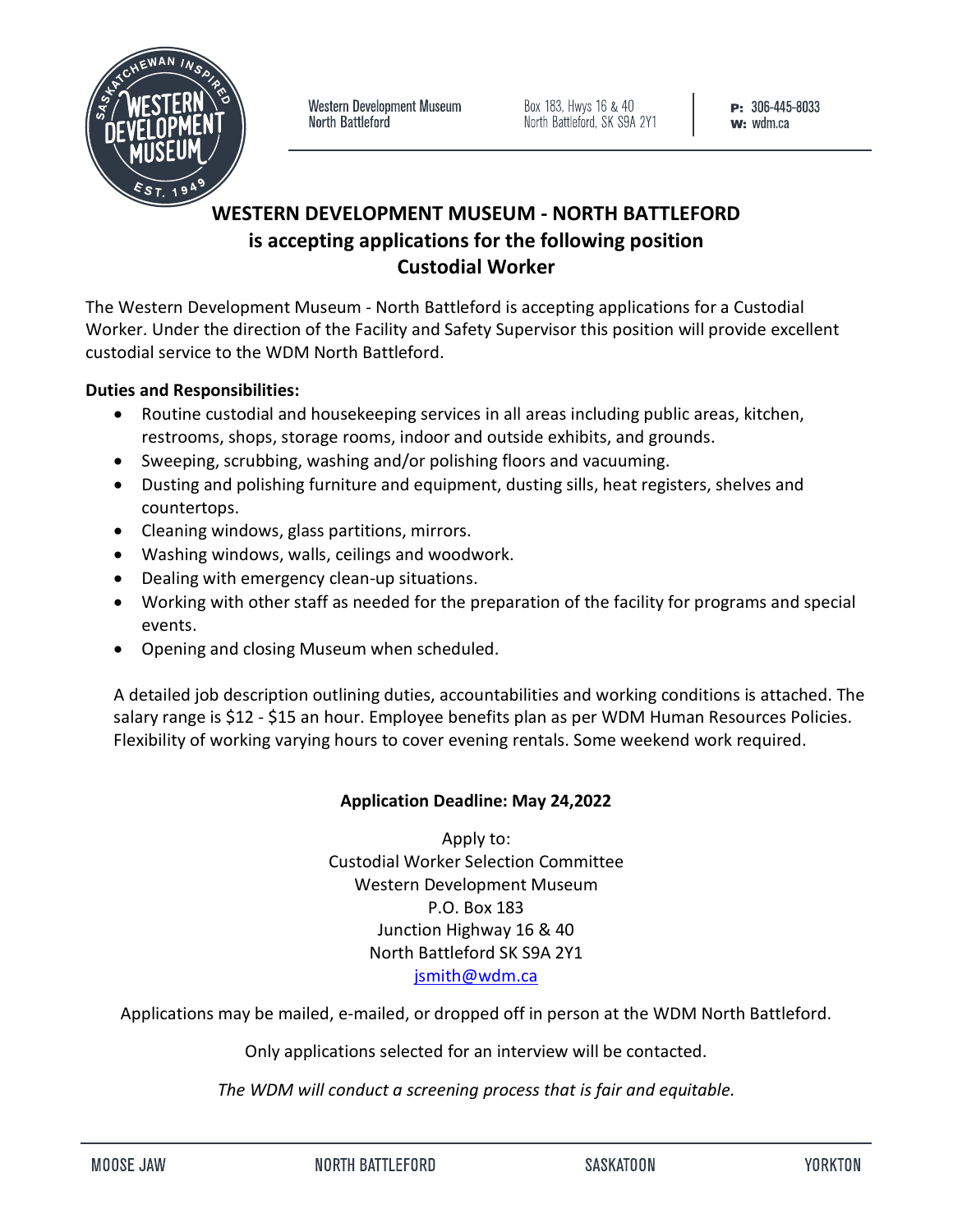

Western Development Museum North Battleford

Box 183, Hwys 16 & 40<br>North Battleford, SK S9A 2Y1

# **WESTERN DEVELOPMENT MUSEUM - NORTH BATTLEFORD is accepting applications for the following position Custodial Worker**

The Western Development Museum - North Battleford is accepting applications for a Custodial Worker. Under the direction of the Facility and Safety Supervisor this position will provide excellent custodial service to the WDM North Battleford.

# **Duties and Responsibilities:**

- Routine custodial and housekeeping services in all areas including public areas, kitchen, restrooms, shops, storage rooms, indoor and outside exhibits, and grounds.
- Sweeping, scrubbing, washing and/or polishing floors and vacuuming.
- Dusting and polishing furniture and equipment, dusting sills, heat registers, shelves and countertops.
- Cleaning windows, glass partitions, mirrors.
- Washing windows, walls, ceilings and woodwork.
- Dealing with emergency clean-up situations.
- Working with other staff as needed for the preparation of the facility for programs and special events.
- Opening and closing Museum when scheduled.

A detailed job description outlining duties, accountabilities and working conditions is attached. The salary range is \$12 - \$15 an hour. Employee benefits plan as per WDM Human Resources Policies. Flexibility of working varying hours to cover evening rentals. Some weekend work required.

### **Application Deadline: May 24,2022**

Apply to: Custodial Worker Selection Committee Western Development Museum P.O. Box 183 Junction Highway 16 & 40 North Battleford SK S9A 2Y1 [jsmith@wdm.ca](mailto:jsmith@wdm.ca)

Applications may be mailed, e-mailed, or dropped off in person at the WDM North Battleford.

Only applications selected for an interview will be contacted.

*The WDM will conduct a screening process that is fair and equitable.*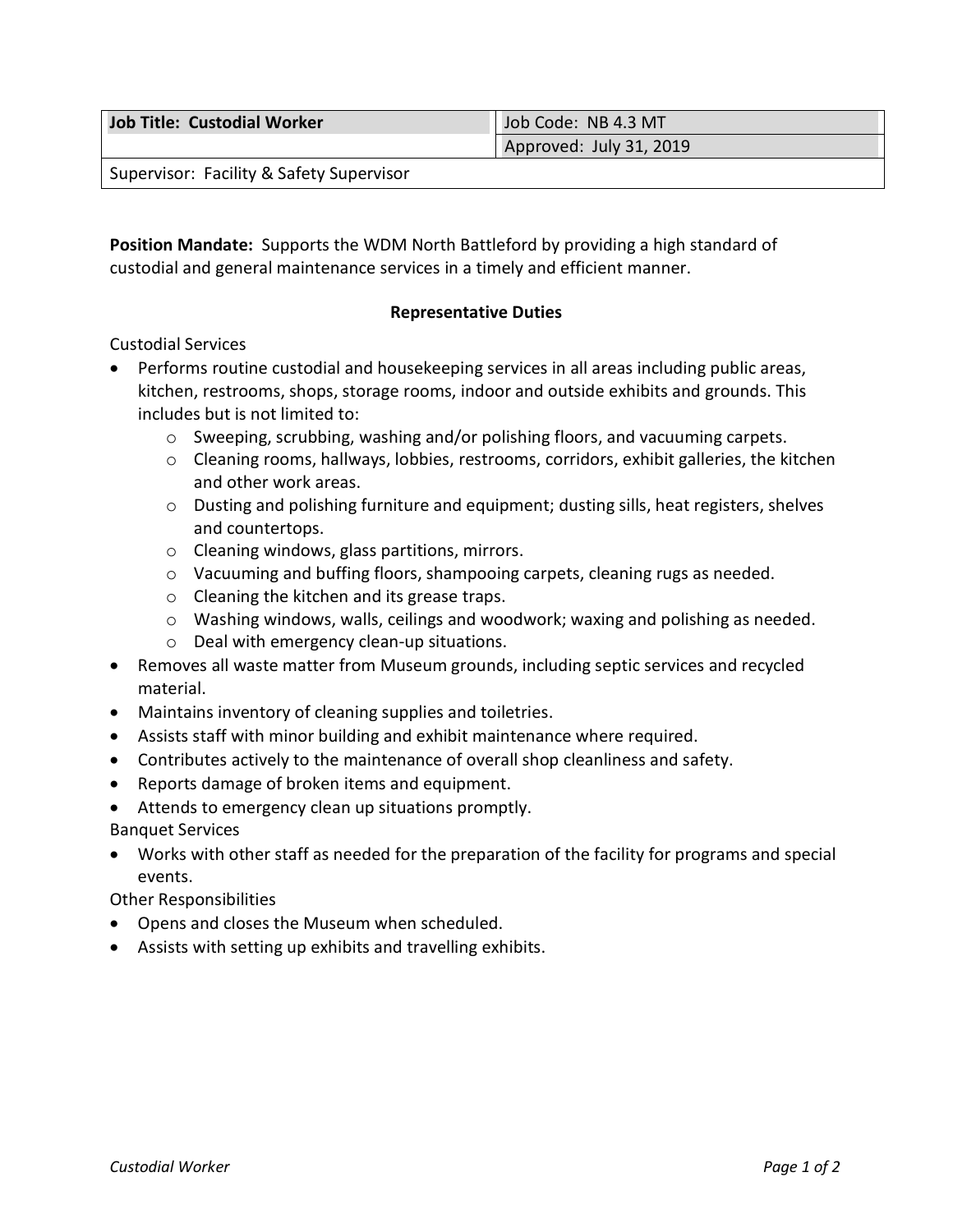| Job Title: Custodial Worker | Job Code: NB 4.3 MT     |
|-----------------------------|-------------------------|
|                             | Approved: July 31, 2019 |
|                             |                         |

Supervisor: Facility & Safety Supervisor

**Position Mandate:** Supports the WDM North Battleford by providing a high standard of custodial and general maintenance services in a timely and efficient manner.

# **Representative Duties**

# Custodial Services

- Performs routine custodial and housekeeping services in all areas including public areas, kitchen, restrooms, shops, storage rooms, indoor and outside exhibits and grounds. This includes but is not limited to:
	- o Sweeping, scrubbing, washing and/or polishing floors, and vacuuming carpets.
	- $\circ$  Cleaning rooms, hallways, lobbies, restrooms, corridors, exhibit galleries, the kitchen and other work areas.
	- o Dusting and polishing furniture and equipment; dusting sills, heat registers, shelves and countertops.
	- o Cleaning windows, glass partitions, mirrors.
	- $\circ$  Vacuuming and buffing floors, shampooing carpets, cleaning rugs as needed.
	- o Cleaning the kitchen and its grease traps.
	- $\circ$  Washing windows, walls, ceilings and woodwork; waxing and polishing as needed.
	- o Deal with emergency clean-up situations.
- Removes all waste matter from Museum grounds, including septic services and recycled material.
- Maintains inventory of cleaning supplies and toiletries.
- Assists staff with minor building and exhibit maintenance where required.
- Contributes actively to the maintenance of overall shop cleanliness and safety.
- Reports damage of broken items and equipment.
- Attends to emergency clean up situations promptly.

Banquet Services

• Works with other staff as needed for the preparation of the facility for programs and special events.

Other Responsibilities

- Opens and closes the Museum when scheduled.
- Assists with setting up exhibits and travelling exhibits.